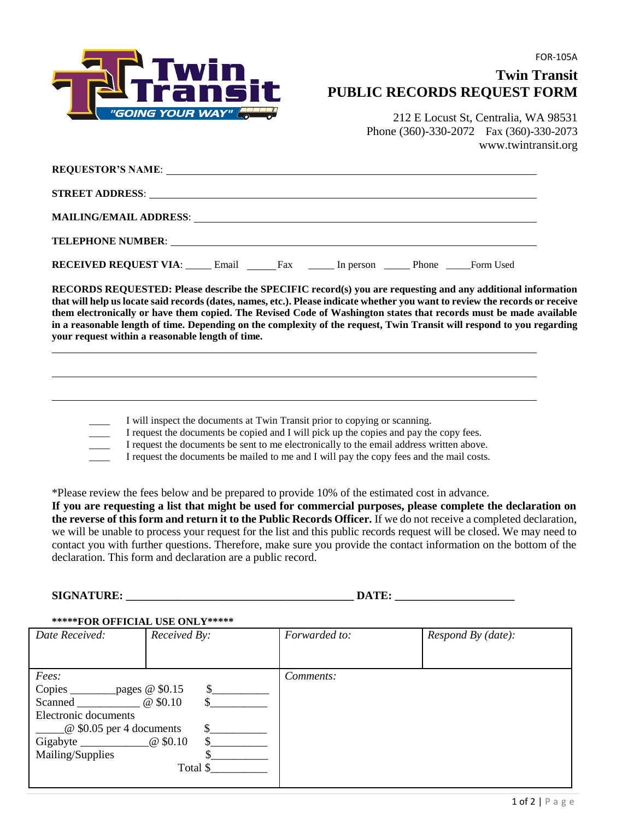

## **Twin Transit PUBLIC RECORDS REQUEST FORM**

212 E Locust St, Centralia, WA 98531 Phone (360)-330-2072 Fax (360)-330-2073 www.twintransit.org

| TELEPHONE NUMBER: University of the contract of the contract of the contract of the contract of the contract of the contract of the contract of the contract of the contract of the contract of the contract of the contract o |     |           |       |           |
|--------------------------------------------------------------------------------------------------------------------------------------------------------------------------------------------------------------------------------|-----|-----------|-------|-----------|
| <b>RECEIVED REQUEST VIA:</b> Email                                                                                                                                                                                             | Fax | In person | Phone | Form Used |

**RECORDS REQUESTED: Please describe the SPECIFIC record(s) you are requesting and any additional information that will help us locate said records (dates, names, etc.). Please indicate whether you want to review the records or receive them electronically or have them copied. The Revised Code of Washington states that records must be made available in a reasonable length of time. Depending on the complexity of the request, Twin Transit will respond to you regarding your request within a reasonable length of time.** 

 $\overline{\phantom{a}}$ I will inspect the documents at Twin Transit prior to copying or scanning.

 $\overline{\phantom{a}}$ I request the documents be copied and I will pick up the copies and pay the copy fees.

 $\overline{\phantom{a}}$ I request the documents be sent to me electronically to the email address written above.

 $\overline{\phantom{a}}$ I request the documents be mailed to me and I will pay the copy fees and the mail costs.

\*Please review the fees below and be prepared to provide 10% of the estimated cost in advance.

**If you are requesting a list that might be used for commercial purposes, please complete the declaration on the reverse of this form and return it to the Public Records Officer.** If we do not receive a completed declaration, we will be unable to process your request for the list and this public records request will be closed. We may need to contact you with further questions. Therefore, make sure you provide the contact information on the bottom of the declaration. This form and declaration are a public record.

SIGNATURE: **DATE: DATE:** 

## **\*\*\*\*\*FOR OFFICIAL USE ONLY\*\*\*\*\***

| Date Received:                             | Received By:     | Forwarded to: | Respond By (date): |
|--------------------------------------------|------------------|---------------|--------------------|
|                                            |                  |               |                    |
|                                            |                  |               |                    |
| Fees:                                      |                  | Comments:     |                    |
| Copies<br>pages $@$ \$0.15<br>\$.          |                  |               |                    |
| Scanned                                    | $@$ \$0.10<br>\$ |               |                    |
| Electronic documents                       |                  |               |                    |
| \$<br>$\frac{1}{2}$ \$0.05 per 4 documents |                  |               |                    |
| Gigabyte $\_\_$                            | $@$ \$0.10<br>\$ |               |                    |
| Mailing/Supplies                           |                  |               |                    |
| Total \$                                   |                  |               |                    |
|                                            |                  |               |                    |

1 of 2 | P a g e

FOR-105A